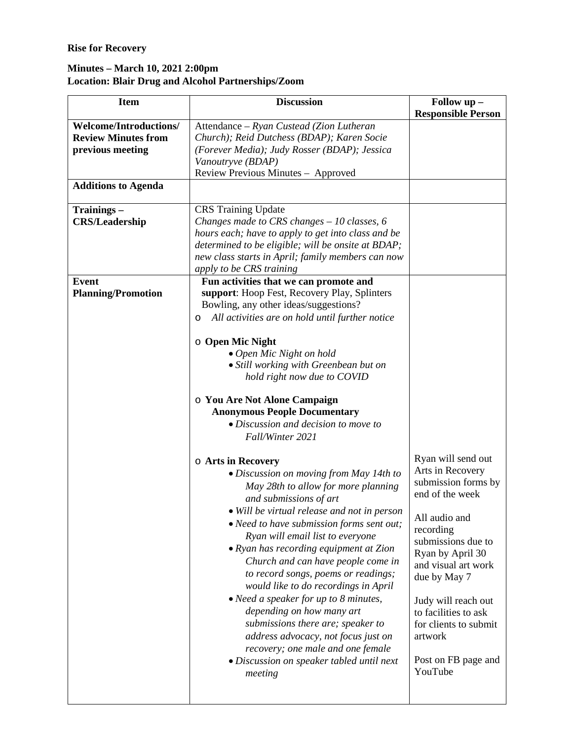## **Rise for Recovery**

## **Minutes – March 10, 2021 2:00pm Location: Blair Drug and Alcohol Partnerships/Zoom**

| <b>Item</b>                   | <b>Discussion</b>                                    | Follow up -                                 |
|-------------------------------|------------------------------------------------------|---------------------------------------------|
|                               |                                                      | <b>Responsible Person</b>                   |
| <b>Welcome/Introductions/</b> | Attendance - Ryan Custead (Zion Lutheran             |                                             |
| <b>Review Minutes from</b>    | Church); Reid Dutchess (BDAP); Karen Socie           |                                             |
| previous meeting              | (Forever Media); Judy Rosser (BDAP); Jessica         |                                             |
|                               | Vanoutryve (BDAP)                                    |                                             |
|                               | Review Previous Minutes - Approved                   |                                             |
| <b>Additions to Agenda</b>    |                                                      |                                             |
|                               |                                                      |                                             |
| Trainings-                    | <b>CRS</b> Training Update                           |                                             |
| <b>CRS/Leadership</b>         | Changes made to CRS changes $-10$ classes, 6         |                                             |
|                               | hours each; have to apply to get into class and be   |                                             |
|                               | determined to be eligible; will be onsite at BDAP;   |                                             |
|                               | new class starts in April; family members can now    |                                             |
|                               | apply to be CRS training                             |                                             |
| <b>Event</b>                  | Fun activities that we can promote and               |                                             |
| <b>Planning/Promotion</b>     | support: Hoop Fest, Recovery Play, Splinters         |                                             |
|                               | Bowling, any other ideas/suggestions?                |                                             |
|                               | All activities are on hold until further notice<br>O |                                             |
|                               | $\circ$ Open Mic Night                               |                                             |
|                               | • Open Mic Night on hold                             |                                             |
|                               | • Still working with Greenbean but on                |                                             |
|                               | hold right now due to COVID                          |                                             |
|                               |                                                      |                                             |
|                               | O You Are Not Alone Campaign                         |                                             |
|                               | <b>Anonymous People Documentary</b>                  |                                             |
|                               | • Discussion and decision to move to                 |                                             |
|                               | Fall/Winter 2021                                     |                                             |
|                               |                                                      |                                             |
|                               | ○ Arts in Recovery                                   | Ryan will send out                          |
|                               | • Discussion on moving from May 14th to              | Arts in Recovery                            |
|                               | May 28th to allow for more planning                  | submission forms by                         |
|                               | and submissions of art                               | end of the week                             |
|                               | • Will be virtual release and not in person          |                                             |
|                               | • Need to have submission forms sent out;            | All audio and                               |
|                               | Ryan will email list to everyone                     | recording<br>submissions due to             |
|                               | • Ryan has recording equipment at Zion               |                                             |
|                               | Church and can have people come in                   | Ryan by April 30                            |
|                               | to record songs, poems or readings;                  | and visual art work                         |
|                               | would like to do recordings in April                 | due by May 7                                |
|                               | • Need a speaker for up to 8 minutes,                |                                             |
|                               | depending on how many art                            | Judy will reach out<br>to facilities to ask |
|                               | submissions there are; speaker to                    | for clients to submit                       |
|                               | address advocacy, not focus just on                  | artwork                                     |
|                               | recovery; one male and one female                    |                                             |
|                               | • Discussion on speaker tabled until next            | Post on FB page and                         |
|                               | meeting                                              | YouTube                                     |
|                               |                                                      |                                             |
|                               |                                                      |                                             |
|                               |                                                      |                                             |